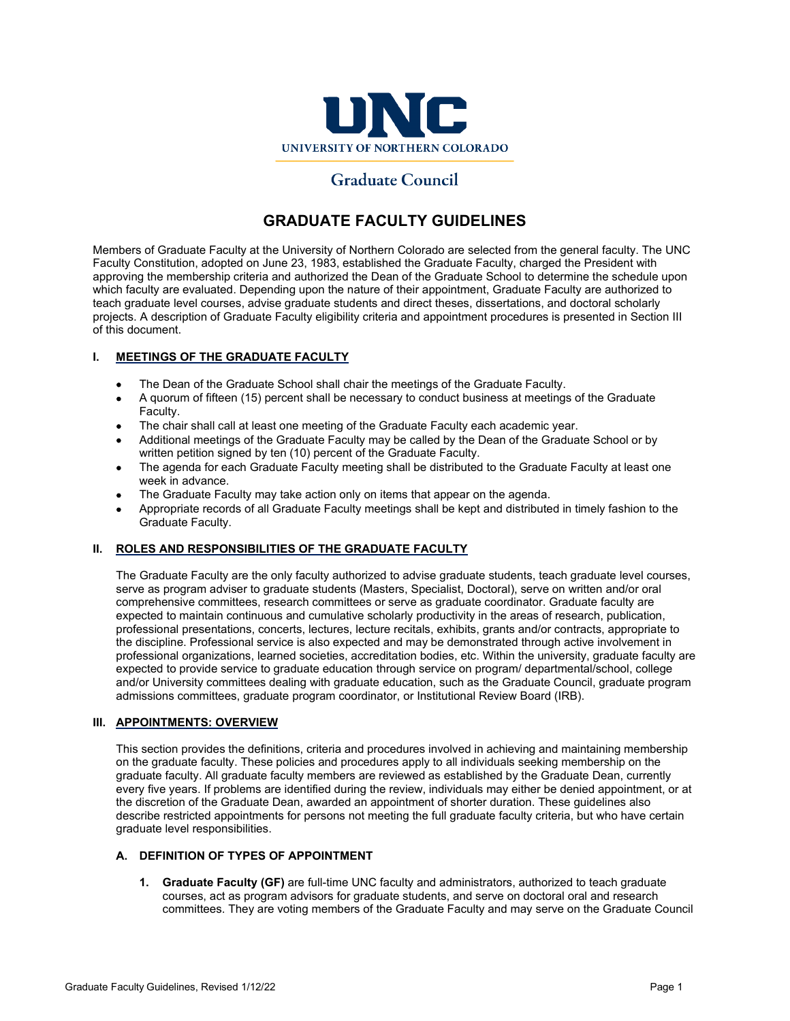

# **Graduate Council**

# **GRADUATE FACULTY GUIDELINES**

Members of Graduate Faculty at the University of Northern Colorado are selected from the general faculty. The UNC Faculty Constitution, adopted on June 23, 1983, established the Graduate Faculty, charged the President with approving the membership criteria and authorized the Dean of the Graduate School to determine the schedule upon which faculty are evaluated. Depending upon the nature of their appointment, Graduate Faculty are authorized to teach graduate level courses, advise graduate students and direct theses, dissertations, and doctoral scholarly projects. A description of Graduate Faculty eligibility criteria and appointment procedures is presented in Section III of this document.

# **I. MEETINGS OF THE GRADUATE FACULTY**

- The Dean of the Graduate School shall chair the meetings of the Graduate Faculty.
- A quorum of fifteen (15) percent shall be necessary to conduct business at meetings of the Graduate Faculty.
- The chair shall call at least one meeting of the Graduate Faculty each academic year.
- Additional meetings of the Graduate Faculty may be called by the Dean of the Graduate School or by written petition signed by ten (10) percent of the Graduate Faculty.
- The agenda for each Graduate Faculty meeting shall be distributed to the Graduate Faculty at least one week in advance.
- The Graduate Faculty may take action only on items that appear on the agenda.
- Appropriate records of all Graduate Faculty meetings shall be kept and distributed in timely fashion to the Graduate Faculty.

# **II. ROLES AND RESPONSIBILITIES OF THE GRADUATE FACULTY**

The Graduate Faculty are the only faculty authorized to advise graduate students, teach graduate level courses, serve as program adviser to graduate students (Masters, Specialist, Doctoral), serve on written and/or oral comprehensive committees, research committees or serve as graduate coordinator. Graduate faculty are expected to maintain continuous and cumulative scholarly productivity in the areas of research, publication, professional presentations, concerts, lectures, lecture recitals, exhibits, grants and/or contracts, appropriate to the discipline. Professional service is also expected and may be demonstrated through active involvement in professional organizations, learned societies, accreditation bodies, etc. Within the university, graduate faculty are expected to provide service to graduate education through service on program/ departmental/school, college and/or University committees dealing with graduate education, such as the Graduate Council, graduate program admissions committees, graduate program coordinator, or Institutional Review Board (IRB).

# **III. APPOINTMENTS: OVERVIEW**

This section provides the definitions, criteria and procedures involved in achieving and maintaining membership on the graduate faculty. These policies and procedures apply to all individuals seeking membership on the graduate faculty. All graduate faculty members are reviewed as established by the Graduate Dean, currently every five years. If problems are identified during the review, individuals may either be denied appointment, or at the discretion of the Graduate Dean, awarded an appointment of shorter duration. These guidelines also describe restricted appointments for persons not meeting the full graduate faculty criteria, but who have certain graduate level responsibilities.

# **A. DEFINITION OF TYPES OF APPOINTMENT**

**1. Graduate Faculty (GF)** are full-time UNC faculty and administrators, authorized to teach graduate courses, act as program advisors for graduate students, and serve on doctoral oral and research committees. They are voting members of the Graduate Faculty and may serve on the Graduate Council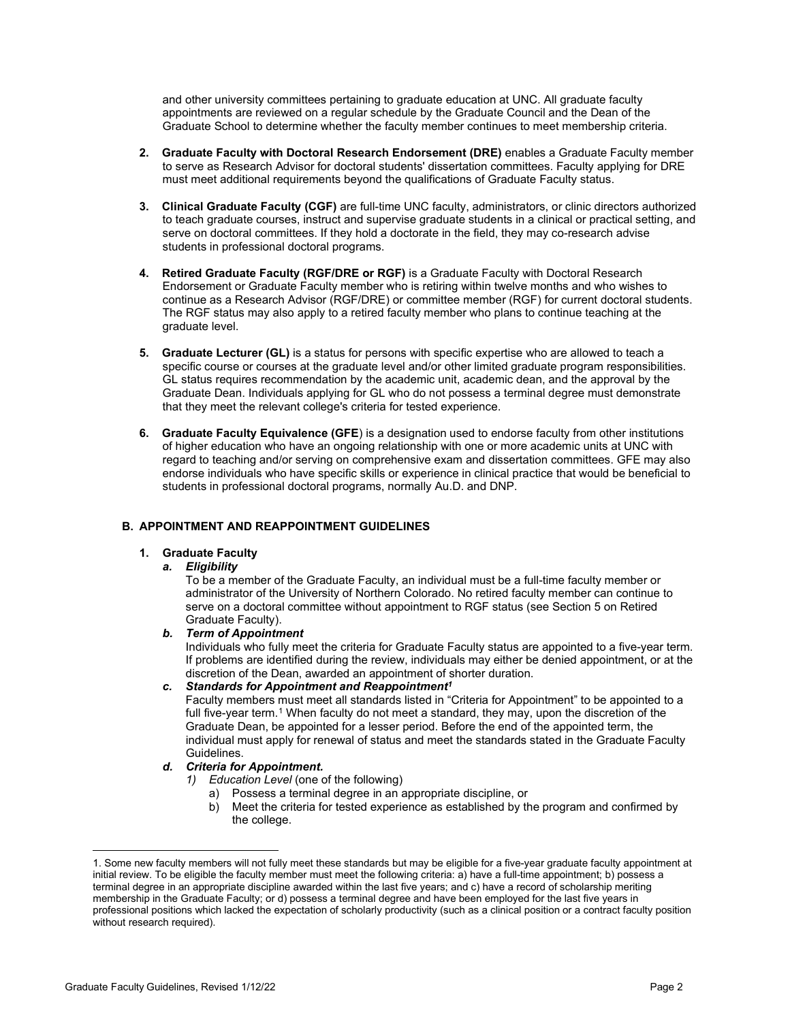and other university committees pertaining to graduate education at UNC. All graduate faculty appointments are reviewed on a regular schedule by the Graduate Council and the Dean of the Graduate School to determine whether the faculty member continues to meet membership criteria.

- **2. Graduate Faculty with Doctoral Research Endorsement (DRE)** enables a Graduate Faculty member to serve as Research Advisor for doctoral students' dissertation committees. Faculty applying for DRE must meet additional requirements beyond the qualifications of Graduate Faculty status.
- **3. Clinical Graduate Faculty (CGF)** are full-time UNC faculty, administrators, or clinic directors authorized to teach graduate courses, instruct and supervise graduate students in a clinical or practical setting, and serve on doctoral committees. If they hold a doctorate in the field, they may co-research advise students in professional doctoral programs.
- **4. Retired Graduate Faculty (RGF/DRE or RGF)** is a Graduate Faculty with Doctoral Research Endorsement or Graduate Faculty member who is retiring within twelve months and who wishes to continue as a Research Advisor (RGF/DRE) or committee member (RGF) for current doctoral students. The RGF status may also apply to a retired faculty member who plans to continue teaching at the graduate level.
- **5. Graduate Lecturer (GL)** is a status for persons with specific expertise who are allowed to teach a specific course or courses at the graduate level and/or other limited graduate program responsibilities. GL status requires recommendation by the academic unit, academic dean, and the approval by the Graduate Dean. Individuals applying for GL who do not possess a terminal degree must demonstrate that they meet the relevant college's criteria for tested experience.
- **6. Graduate Faculty Equivalence (GFE**) is a designation used to endorse faculty from other institutions of higher education who have an ongoing relationship with one or more academic units at UNC with regard to teaching and/or serving on comprehensive exam and dissertation committees. GFE may also endorse individuals who have specific skills or experience in clinical practice that would be beneficial to students in professional doctoral programs, normally Au.D. and DNP.

# **B. APPOINTMENT AND REAPPOINTMENT GUIDELINES**

# **1. Graduate Faculty**

# *a. Eligibility*

To be a member of the Graduate Faculty, an individual must be a full-time faculty member or administrator of the University of Northern Colorado. No retired faculty member can continue to serve on a doctoral committee without appointment to RGF status (see Section 5 on Retired Graduate Faculty).

# *b. Term of Appointment*

Individuals who fully meet the criteria for Graduate Faculty status are appointed to a five-year term. If problems are identified during the review, individuals may either be denied appointment, or at the discretion of the Dean, awarded an appointment of shorter duration.

# *c. Standards for Appointment and Reappointment<sup>1</sup>*

Faculty members must meet all standards listed in "Criteria for Appointment" to be appointed to a full five-year term.<sup>[1](#page-1-0)</sup> When faculty do not meet a standard, they may, upon the discretion of the Graduate Dean, be appointed for a lesser period. Before the end of the appointed term, the individual must apply for renewal of status and meet the standards stated in the Graduate Faculty Guidelines.

- *d. Criteria for Appointment.*
	- *1) Education Level* (one of the following)
		- a) Possess a terminal degree in an appropriate discipline, or
		- b) Meet the criteria for tested experience as established by the program and confirmed by the college.

<span id="page-1-0"></span><sup>1.</sup> Some new faculty members will not fully meet these standards but may be eligible for a five-year graduate faculty appointment at initial review. To be eligible the faculty member must meet the following criteria: a) have a full-time appointment; b) possess a terminal degree in an appropriate discipline awarded within the last five years; and c) have a record of scholarship meriting membership in the Graduate Faculty; or d) possess a terminal degree and have been employed for the last five years in professional positions which lacked the expectation of scholarly productivity (such as a clinical position or a contract faculty position without research required).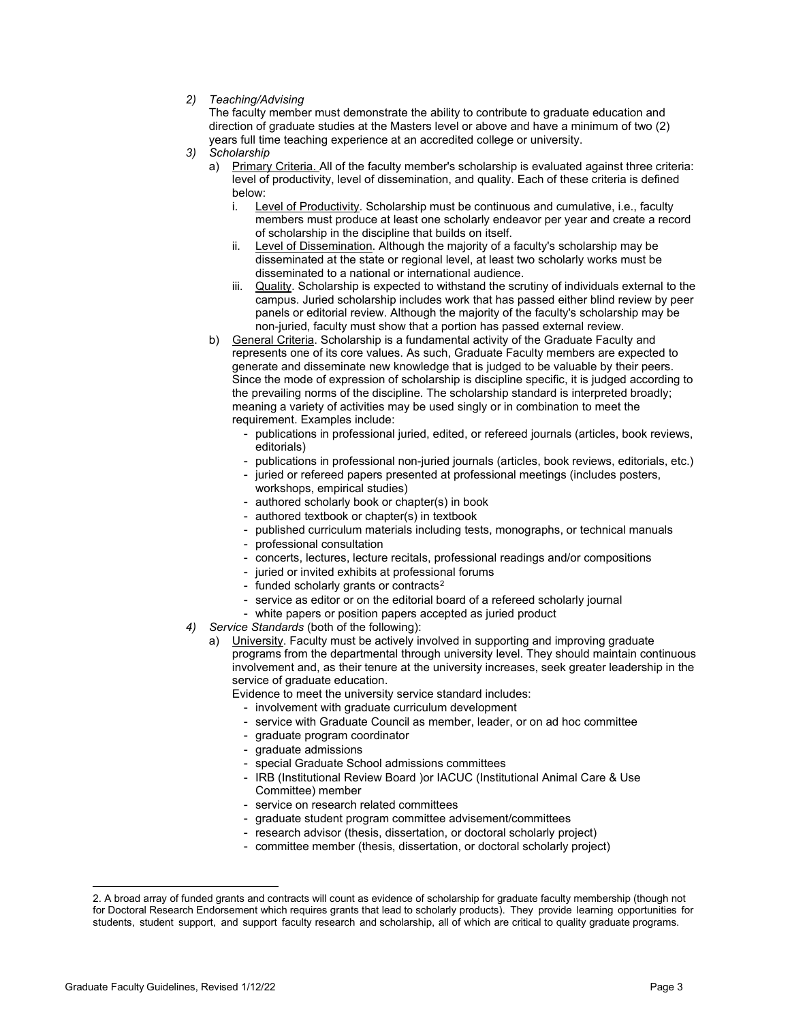# *2) Teaching/Advising*

The faculty member must demonstrate the ability to contribute to graduate education and direction of graduate studies at the Masters level or above and have a minimum of two (2) years full time teaching experience at an accredited college or university.

- *3) Scholarship*
	- a) Primary Criteria. All of the faculty member's scholarship is evaluated against three criteria: level of productivity, level of dissemination, and quality. Each of these criteria is defined below:
		- i. Level of Productivity. Scholarship must be continuous and cumulative, i.e., faculty members must produce at least one scholarly endeavor per year and create a record of scholarship in the discipline that builds on itself.
		- ii. Level of Dissemination. Although the majority of a faculty's scholarship may be disseminated at the state or regional level, at least two scholarly works must be disseminated to a national or international audience.
		- iii. Quality. Scholarship is expected to withstand the scrutiny of individuals external to the campus. Juried scholarship includes work that has passed either blind review by peer panels or editorial review. Although the majority of the faculty's scholarship may be non-juried, faculty must show that a portion has passed external review.
	- b) General Criteria. Scholarship is a fundamental activity of the Graduate Faculty and represents one of its core values. As such, Graduate Faculty members are expected to generate and disseminate new knowledge that is judged to be valuable by their peers. Since the mode of expression of scholarship is discipline specific, it is judged according to the prevailing norms of the discipline. The scholarship standard is interpreted broadly; meaning a variety of activities may be used singly or in combination to meet the requirement. Examples include:
		- publications in professional juried, edited, or refereed journals (articles, book reviews, editorials)
		- publications in professional non-juried journals (articles, book reviews, editorials, etc.)
		- juried or refereed papers presented at professional meetings (includes posters, workshops, empirical studies)
		- authored scholarly book or chapter(s) in book
		- authored textbook or chapter(s) in textbook
		- published curriculum materials including tests, monographs, or technical manuals
		- professional consultation
		- concerts, lectures, lecture recitals, professional readings and/or compositions
		- juried or invited exhibits at professional forums
		- funded scholarly grants or contracts<sup>[2](#page-2-0)</sup>
		- service as editor or on the editorial board of a refereed scholarly journal
		- white papers or position papers accepted as juried product
- *4) Service Standards* (both of the following):
	- a) University. Faculty must be actively involved in supporting and improving graduate programs from the departmental through university level. They should maintain continuous involvement and, as their tenure at the university increases, seek greater leadership in the service of graduate education.

Evidence to meet the university service standard includes:

- involvement with graduate curriculum development
- service with Graduate Council as member, leader, or on ad hoc committee
- graduate program coordinator
- graduate admissions
- special Graduate School admissions committees
- IRB (Institutional Review Board )or IACUC (Institutional Animal Care & Use Committee) member
- service on research related committees
- graduate student program committee advisement/committees
- research advisor (thesis, dissertation, or doctoral scholarly project)
- committee member (thesis, dissertation, or doctoral scholarly project)

<span id="page-2-0"></span><sup>2.</sup> A broad array of funded grants and contracts will count as evidence of scholarship for graduate faculty membership (though not for Doctoral Research Endorsement which requires grants that lead to scholarly products). They provide learning opportunities for students, student support, and support faculty research and scholarship, all of which are critical to quality graduate programs.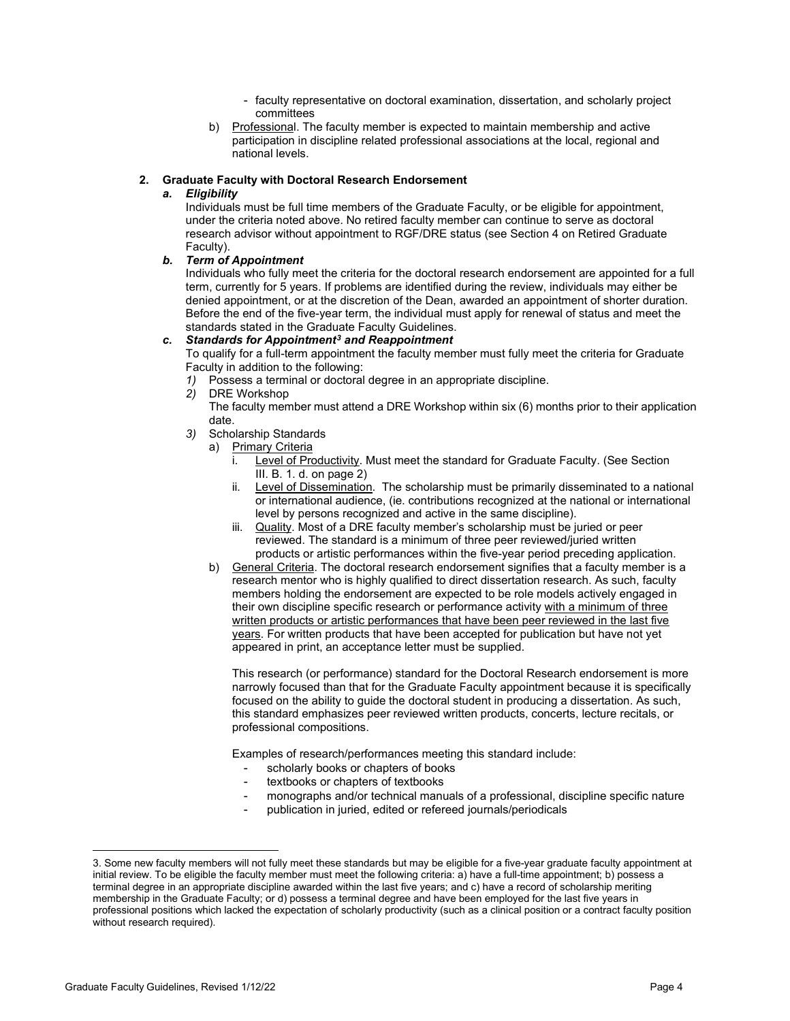- faculty representative on doctoral examination, dissertation, and scholarly project committees
- b) Professional. The faculty member is expected to maintain membership and active participation in discipline related professional associations at the local, regional and national levels.

### **2. Graduate Faculty with Doctoral Research Endorsement**

### *a. Eligibility*

Individuals must be full time members of the Graduate Faculty, or be eligible for appointment, under the criteria noted above. No retired faculty member can continue to serve as doctoral research advisor without appointment to RGF/DRE status (see Section 4 on Retired Graduate Faculty).

#### *b. Term of Appointment*

Individuals who fully meet the criteria for the doctoral research endorsement are appointed for a full term, currently for 5 years. If problems are identified during the review, individuals may either be denied appointment, or at the discretion of the Dean, awarded an appointment of shorter duration. Before the end of the five-year term, the individual must apply for renewal of status and meet the standards stated in the Graduate Faculty Guidelines.

### *c. Standards for Appointment[3](#page-3-0) and Reappointment*

To qualify for a full-term appointment the faculty member must fully meet the criteria for Graduate Faculty in addition to the following:

- *1)* Possess a terminal or doctoral degree in an appropriate discipline.
- *2)* DRE Workshop

The faculty member must attend a DRE Workshop within six (6) months prior to their application date.

- *3)* Scholarship Standards
	- a) Primary Criteria
		- i. Level of Productivity. Must meet the standard for Graduate Faculty. (See Section III. B. 1. d. on page 2)
		- ii. Level of Dissemination. The scholarship must be primarily disseminated to a national or international audience, (ie. contributions recognized at the national or international level by persons recognized and active in the same discipline).
		- iii. Quality. Most of a DRE faculty member's scholarship must be juried or peer reviewed. The standard is a minimum of three peer reviewed/juried written products or artistic performances within the five-year period preceding application.
	- b) General Criteria. The doctoral research endorsement signifies that a faculty member is a research mentor who is highly qualified to direct dissertation research. As such, faculty members holding the endorsement are expected to be role models actively engaged in their own discipline specific research or performance activity with a minimum of three written products or artistic performances that have been peer reviewed in the last five years. For written products that have been accepted for publication but have not yet appeared in print, an acceptance letter must be supplied.

This research (or performance) standard for the Doctoral Research endorsement is more narrowly focused than that for the Graduate Faculty appointment because it is specifically focused on the ability to guide the doctoral student in producing a dissertation. As such, this standard emphasizes peer reviewed written products, concerts, lecture recitals, or professional compositions.

Examples of research/performances meeting this standard include:

- scholarly books or chapters of books
- textbooks or chapters of textbooks
- monographs and/or technical manuals of a professional, discipline specific nature
- publication in juried, edited or refereed journals/periodicals

<span id="page-3-0"></span><sup>3.</sup> Some new faculty members will not fully meet these standards but may be eligible for a five-year graduate faculty appointment at initial review. To be eligible the faculty member must meet the following criteria: a) have a full-time appointment; b) possess a terminal degree in an appropriate discipline awarded within the last five years; and c) have a record of scholarship meriting membership in the Graduate Faculty; or d) possess a terminal degree and have been employed for the last five years in professional positions which lacked the expectation of scholarly productivity (such as a clinical position or a contract faculty position without research required).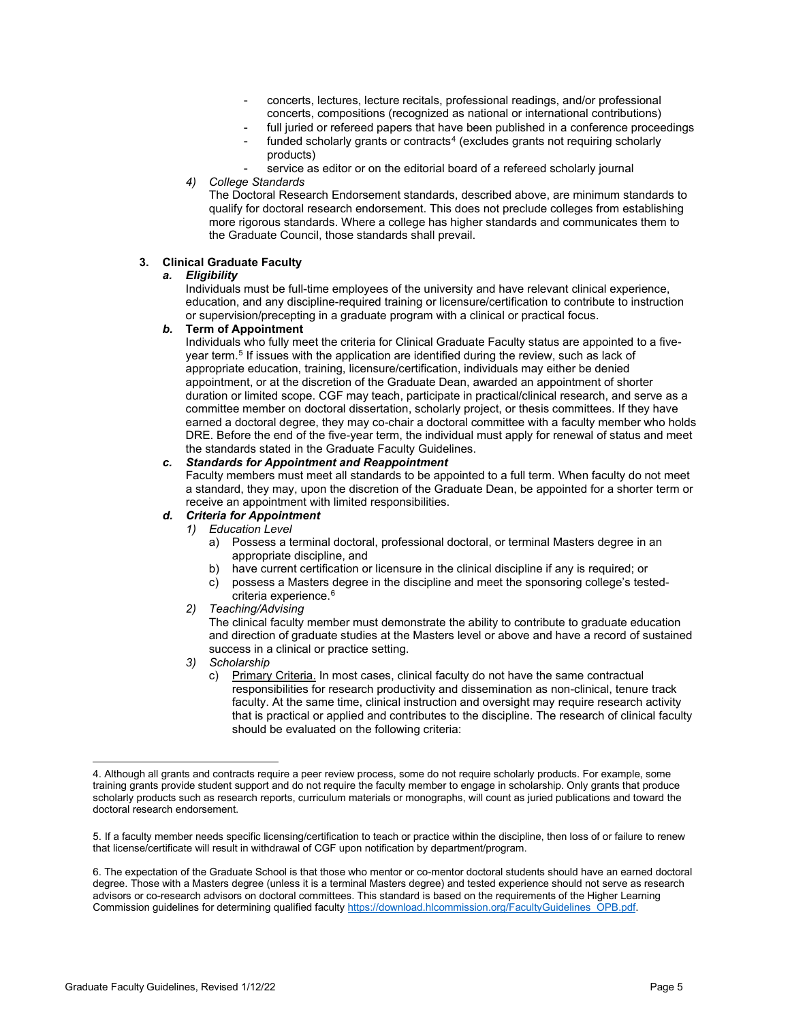- concerts, lectures, lecture recitals, professional readings, and/or professional concerts, compositions (recognized as national or international contributions)
- full juried or refereed papers that have been published in a conference proceedings
- funded scholarly grants or contracts $4$  (excludes grants not requiring scholarly products)
- service as editor or on the editorial board of a refereed scholarly journal
- *4) College Standards*

The Doctoral Research Endorsement standards, described above, are minimum standards to qualify for doctoral research endorsement. This does not preclude colleges from establishing more rigorous standards. Where a college has higher standards and communicates them to the Graduate Council, those standards shall prevail.

# **3. Clinical Graduate Faculty**

# *a. Eligibility*

Individuals must be full-time employees of the university and have relevant clinical experience, education, and any discipline-required training or licensure/certification to contribute to instruction or supervision/precepting in a graduate program with a clinical or practical focus.

# *b.* **Term of Appointment**

Individuals who fully meet the criteria for Clinical Graduate Faculty status are appointed to a five-year term.<sup>[5](#page-4-1)</sup> If issues with the application are identified during the review, such as lack of appropriate education, training, licensure/certification, individuals may either be denied appointment, or at the discretion of the Graduate Dean, awarded an appointment of shorter duration or limited scope. CGF may teach, participate in practical/clinical research, and serve as a committee member on doctoral dissertation, scholarly project, or thesis committees. If they have earned a doctoral degree, they may co-chair a doctoral committee with a faculty member who holds DRE. Before the end of the five-year term, the individual must apply for renewal of status and meet the standards stated in the Graduate Faculty Guidelines.

# *c. Standards for Appointment and Reappointment*

Faculty members must meet all standards to be appointed to a full term. When faculty do not meet a standard, they may, upon the discretion of the Graduate Dean, be appointed for a shorter term or receive an appointment with limited responsibilities.

# *d. Criteria for Appointment*

- *1) Education Level* 
	- a) Possess a terminal doctoral, professional doctoral, or terminal Masters degree in an appropriate discipline, and
	- b) have current certification or licensure in the clinical discipline if any is required; or
	- c) possess a Masters degree in the discipline and meet the sponsoring college's tested-criteria experience.<sup>[6](#page-4-2)</sup>
- *2) Teaching/Advising*

The clinical faculty member must demonstrate the ability to contribute to graduate education and direction of graduate studies at the Masters level or above and have a record of sustained success in a clinical or practice setting.

- *3) Scholarship*
	- c) Primary Criteria. In most cases, clinical faculty do not have the same contractual responsibilities for research productivity and dissemination as non-clinical, tenure track faculty. At the same time, clinical instruction and oversight may require research activity that is practical or applied and contributes to the discipline. The research of clinical faculty should be evaluated on the following criteria:

<span id="page-4-0"></span><sup>4.</sup> Although all grants and contracts require a peer review process, some do not require scholarly products. For example, some training grants provide student support and do not require the faculty member to engage in scholarship. Only grants that produce scholarly products such as research reports, curriculum materials or monographs, will count as juried publications and toward the doctoral research endorsement.

<span id="page-4-1"></span><sup>5.</sup> If a faculty member needs specific licensing/certification to teach or practice within the discipline, then loss of or failure to renew that license/certificate will result in withdrawal of CGF upon notification by department/program.

<span id="page-4-2"></span><sup>6.</sup> The expectation of the Graduate School is that those who mentor or co-mentor doctoral students should have an earned doctoral degree. Those with a Masters degree (unless it is a terminal Masters degree) and tested experience should not serve as research advisors or co-research advisors on doctoral committees. This standard is based on the requirements of the Higher Learning Commission guidelines for determining qualified facult[y https://download.hlcommission.org/FacultyGuidelines\\_OPB.pdf.](https://download.hlcommission.org/FacultyGuidelines_OPB.pdf)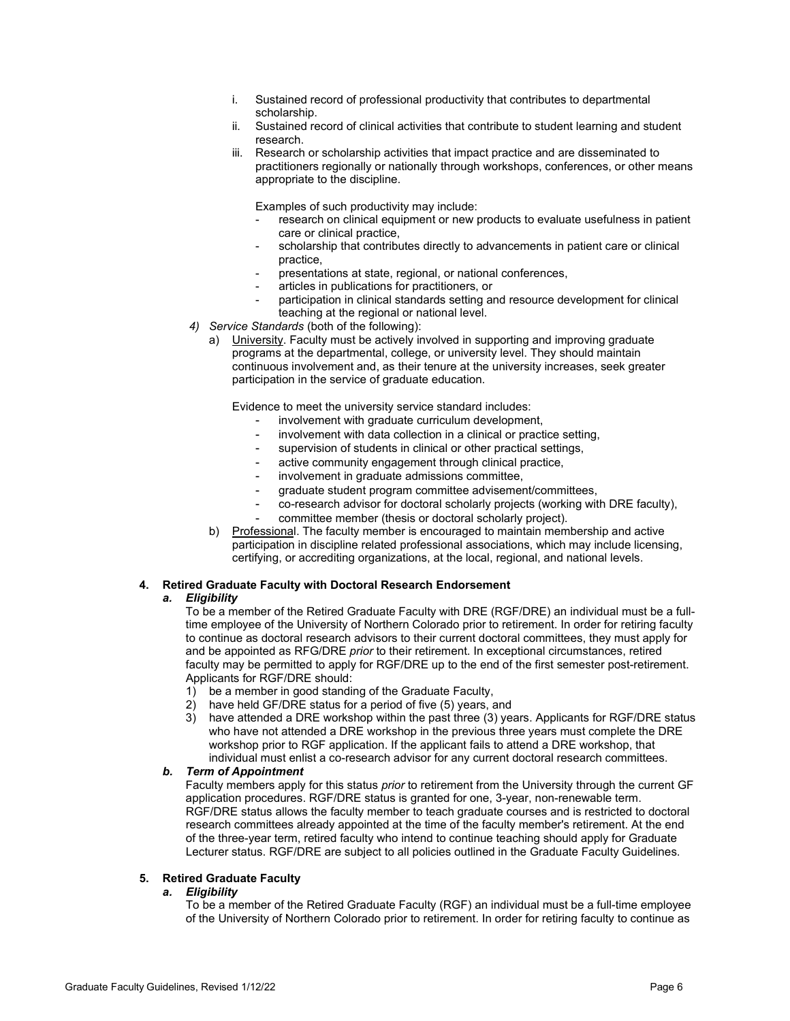- i. Sustained record of professional productivity that contributes to departmental scholarship.
- ii. Sustained record of clinical activities that contribute to student learning and student research.
- iii. Research or scholarship activities that impact practice and are disseminated to practitioners regionally or nationally through workshops, conferences, or other means appropriate to the discipline.

Examples of such productivity may include:

- research on clinical equipment or new products to evaluate usefulness in patient care or clinical practice,
- scholarship that contributes directly to advancements in patient care or clinical practice,
- presentations at state, regional, or national conferences,
- articles in publications for practitioners, or
- participation in clinical standards setting and resource development for clinical teaching at the regional or national level.
- *4) Service Standards* (both of the following):
	- a) University. Faculty must be actively involved in supporting and improving graduate programs at the departmental, college, or university level. They should maintain continuous involvement and, as their tenure at the university increases, seek greater participation in the service of graduate education.

Evidence to meet the university service standard includes:

- involvement with graduate curriculum development,
- involvement with data collection in a clinical or practice setting,
- supervision of students in clinical or other practical settings,
- active community engagement through clinical practice,
- involvement in graduate admissions committee,
- graduate student program committee advisement/committees,
- co-research advisor for doctoral scholarly projects (working with DRE faculty),
- committee member (thesis or doctoral scholarly project).
- b) Professional. The faculty member is encouraged to maintain membership and active participation in discipline related professional associations, which may include licensing, certifying, or accrediting organizations, at the local, regional, and national levels.

# **4. Retired Graduate Faculty with Doctoral Research Endorsement**

#### *a. Eligibility*

To be a member of the Retired Graduate Faculty with DRE (RGF/DRE) an individual must be a fulltime employee of the University of Northern Colorado prior to retirement. In order for retiring faculty to continue as doctoral research advisors to their current doctoral committees, they must apply for and be appointed as RFG/DRE *prior* to their retirement. In exceptional circumstances, retired faculty may be permitted to apply for RGF/DRE up to the end of the first semester post-retirement. Applicants for RGF/DRE should:

- 1) be a member in good standing of the Graduate Faculty,
- 2) have held GF/DRE status for a period of five (5) years, and
- 3) have attended a DRE workshop within the past three (3) years. Applicants for RGF/DRE status who have not attended a DRE workshop in the previous three years must complete the DRE workshop prior to RGF application. If the applicant fails to attend a DRE workshop, that individual must enlist a co-research advisor for any current doctoral research committees.

# *b. Term of Appointment*

Faculty members apply for this status *prior* to retirement from the University through the current GF application procedures. RGF/DRE status is granted for one, 3-year, non-renewable term. RGF/DRE status allows the faculty member to teach graduate courses and is restricted to doctoral research committees already appointed at the time of the faculty member's retirement. At the end of the three-year term, retired faculty who intend to continue teaching should apply for Graduate Lecturer status. RGF/DRE are subject to all policies outlined in the Graduate Faculty Guidelines.

# **5. Retired Graduate Faculty**

#### *a. Eligibility*

To be a member of the Retired Graduate Faculty (RGF) an individual must be a full-time employee of the University of Northern Colorado prior to retirement. In order for retiring faculty to continue as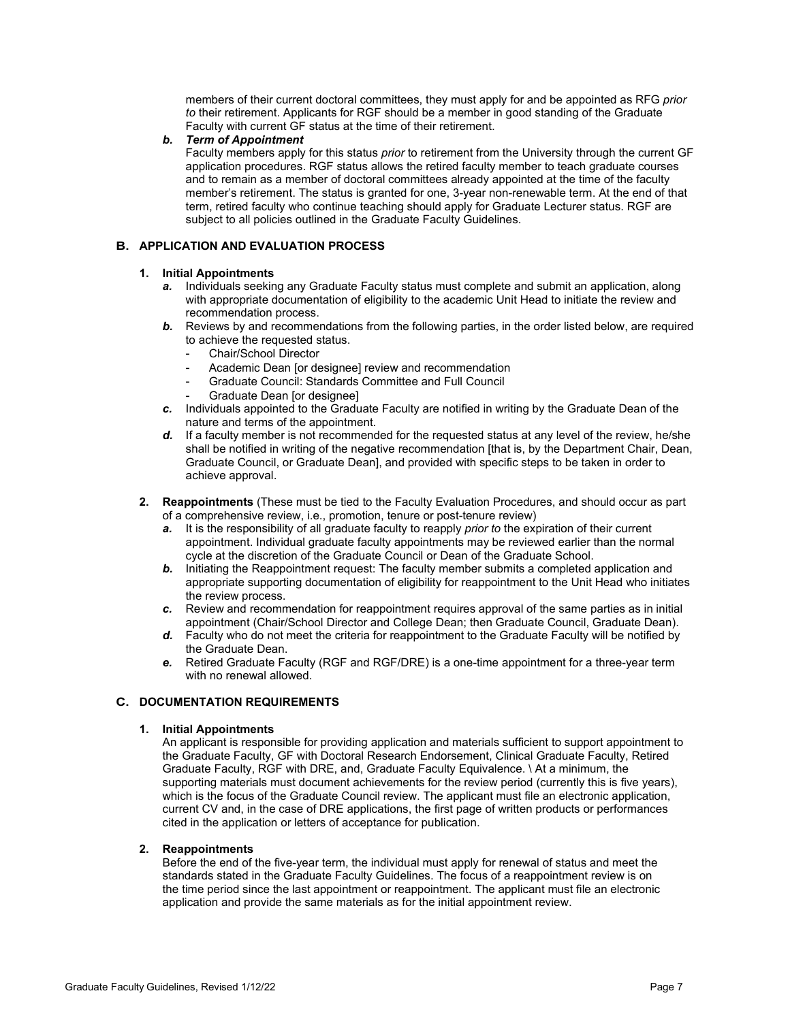members of their current doctoral committees, they must apply for and be appointed as RFG *prior to* their retirement. Applicants for RGF should be a member in good standing of the Graduate Faculty with current GF status at the time of their retirement.

# *b. Term of Appointment*

Faculty members apply for this status *prior* to retirement from the University through the current GF application procedures. RGF status allows the retired faculty member to teach graduate courses and to remain as a member of doctoral committees already appointed at the time of the faculty member's retirement. The status is granted for one, 3-year non-renewable term. At the end of that term, retired faculty who continue teaching should apply for Graduate Lecturer status. RGF are subject to all policies outlined in the Graduate Faculty Guidelines.

# **B. APPLICATION AND EVALUATION PROCESS**

# **1. Initial Appointments**

- *a.* Individuals seeking any Graduate Faculty status must complete and submit an application, along with appropriate documentation of eligibility to the academic Unit Head to initiate the review and recommendation process.
- **b.** Reviews by and recommendations from the following parties, in the order listed below, are required to achieve the requested status.
	- Chair/School Director
	- Academic Dean [or designee] review and recommendation
	- Graduate Council: Standards Committee and Full Council
	- Graduate Dean [or designee]
- *c.* Individuals appointed to the Graduate Faculty are notified in writing by the Graduate Dean of the nature and terms of the appointment.
- *d.* If a faculty member is not recommended for the requested status at any level of the review, he/she shall be notified in writing of the negative recommendation [that is, by the Department Chair, Dean, Graduate Council, or Graduate Dean], and provided with specific steps to be taken in order to achieve approval.
- **2. Reappointments** (These must be tied to the Faculty Evaluation Procedures, and should occur as part of a comprehensive review, i.e., promotion, tenure or post-tenure review)
	- *a.* It is the responsibility of all graduate faculty to reapply *prior to* the expiration of their current appointment. Individual graduate faculty appointments may be reviewed earlier than the normal cycle at the discretion of the Graduate Council or Dean of the Graduate School.
	- **b.** Initiating the Reappointment request: The faculty member submits a completed application and appropriate supporting documentation of eligibility for reappointment to the Unit Head who initiates the review process.
	- *c.* Review and recommendation for reappointment requires approval of the same parties as in initial appointment (Chair/School Director and College Dean; then Graduate Council, Graduate Dean).
	- *d.* Faculty who do not meet the criteria for reappointment to the Graduate Faculty will be notified by the Graduate Dean.
	- *e.* Retired Graduate Faculty (RGF and RGF/DRE) is a one-time appointment for a three-year term with no renewal allowed.

# **C. DOCUMENTATION REQUIREMENTS**

# **1. Initial Appointments**

An applicant is responsible for providing application and materials sufficient to support appointment to the Graduate Faculty, GF with Doctoral Research Endorsement, Clinical Graduate Faculty, Retired Graduate Faculty, RGF with DRE, and, Graduate Faculty Equivalence. \ At a minimum, the supporting materials must document achievements for the review period (currently this is five years), which is the focus of the Graduate Council review. The applicant must file an electronic application, current CV and, in the case of DRE applications, the first page of written products or performances cited in the application or letters of acceptance for publication.

# **2. Reappointments**

Before the end of the five-year term, the individual must apply for renewal of status and meet the standards stated in the Graduate Faculty Guidelines. The focus of a reappointment review is on the time period since the last appointment or reappointment. The applicant must file an electronic application and provide the same materials as for the initial appointment review.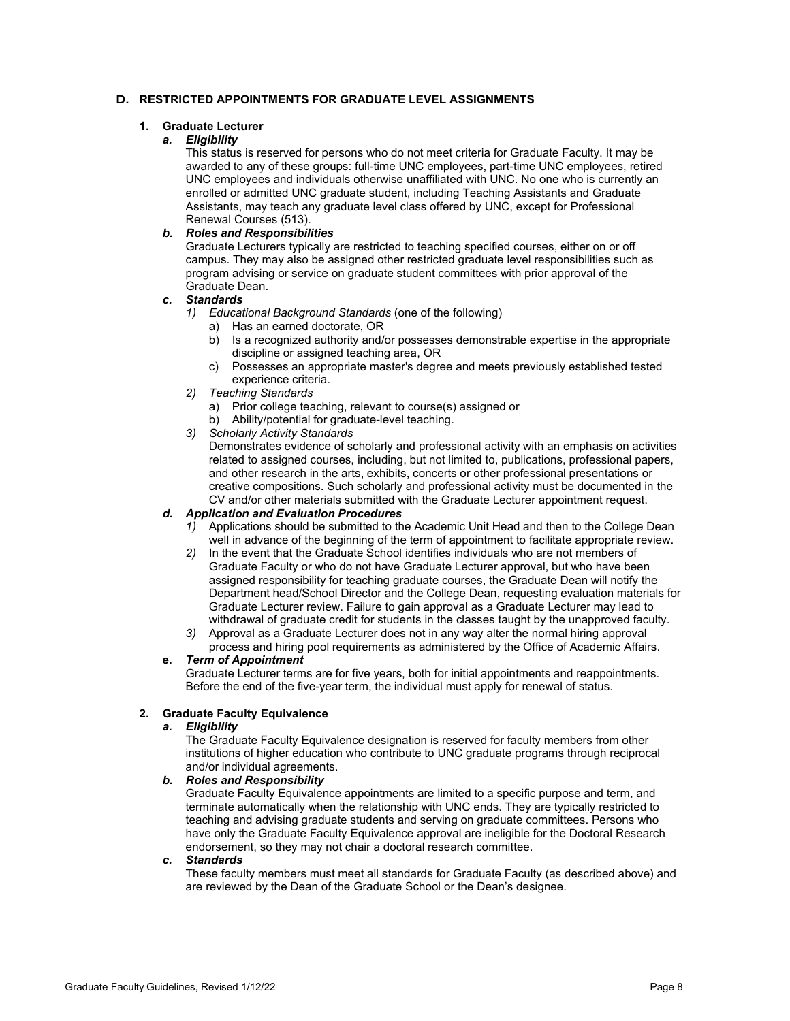# **D. RESTRICTED APPOINTMENTS FOR GRADUATE LEVEL ASSIGNMENTS**

# **1. Graduate Lecturer**

# *a. Eligibility*

This status is reserved for persons who do not meet criteria for Graduate Faculty. It may be awarded to any of these groups: full-time UNC employees, part-time UNC employees, retired UNC employees and individuals otherwise unaffiliated with UNC. No one who is currently an enrolled or admitted UNC graduate student, including Teaching Assistants and Graduate Assistants, may teach any graduate level class offered by UNC, except for Professional Renewal Courses (513).

# *b. Roles and Responsibilities*

Graduate Lecturers typically are restricted to teaching specified courses, either on or off campus. They may also be assigned other restricted graduate level responsibilities such as program advising or service on graduate student committees with prior approval of the Graduate Dean.

# *c. Standards*

- *1) Educational Background Standards* (one of the following)
	- a) Has an earned doctorate, OR
	- b) Is a recognized authority and/or possesses demonstrable expertise in the appropriate discipline or assigned teaching area, OR
	- c) Possesses an appropriate master's degree and meets previously established tested experience criteria.
- *2) Teaching Standards*
	- a) Prior college teaching, relevant to course(s) assigned or
	- b) Ability/potential for graduate-level teaching.
- *3) Scholarly Activity Standards*

Demonstrates evidence of scholarly and professional activity with an emphasis on activities related to assigned courses, including, but not limited to, publications, professional papers, and other research in the arts, exhibits, concerts or other professional presentations or creative compositions. Such scholarly and professional activity must be documented in the CV and/or other materials submitted with the Graduate Lecturer appointment request.

# *d. Application and Evaluation Procedures*

- *1)* Applications should be submitted to the Academic Unit Head and then to the College Dean well in advance of the beginning of the term of appointment to facilitate appropriate review.
- *2)* In the event that the Graduate School identifies individuals who are not members of Graduate Faculty or who do not have Graduate Lecturer approval, but who have been assigned responsibility for teaching graduate courses, the Graduate Dean will notify the Department head/School Director and the College Dean, requesting evaluation materials for Graduate Lecturer review. Failure to gain approval as a Graduate Lecturer may lead to withdrawal of graduate credit for students in the classes taught by the unapproved faculty.
- *3)* Approval as a Graduate Lecturer does not in any way alter the normal hiring approval process and hiring pool requirements as administered by the Office of Academic Affairs.

# **e.** *Term of Appointment*

Graduate Lecturer terms are for five years, both for initial appointments and reappointments. Before the end of the five-year term, the individual must apply for renewal of status.

# **2. Graduate Faculty Equivalence**

# *a. Eligibility*

The Graduate Faculty Equivalence designation is reserved for faculty members from other institutions of higher education who contribute to UNC graduate programs through reciprocal and/or individual agreements.

# *b. Roles and Responsibility*

Graduate Faculty Equivalence appointments are limited to a specific purpose and term, and terminate automatically when the relationship with UNC ends. They are typically restricted to teaching and advising graduate students and serving on graduate committees. Persons who have only the Graduate Faculty Equivalence approval are ineligible for the Doctoral Research endorsement, so they may not chair a doctoral research committee.

# *c. Standards*

These faculty members must meet all standards for Graduate Faculty (as described above) and are reviewed by the Dean of the Graduate School or the Dean's designee.